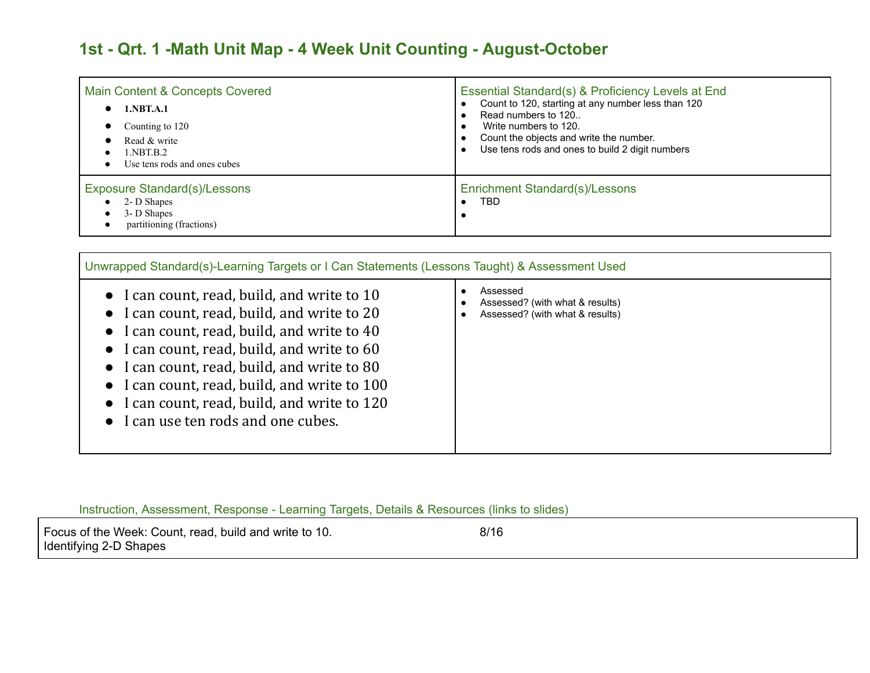## **1st - Qrt. 1 -Math Unit Map - 4 Week Unit Counting - August-October**

| Main Content & Concepts Covered                                                               | Essential Standard(s) & Proficiency Levels at End  |
|-----------------------------------------------------------------------------------------------|----------------------------------------------------|
| 1.NBT.A.1                                                                                     | Count to 120, starting at any number less than 120 |
| Counting to 120                                                                               | Read numbers to 120                                |
| Read & write                                                                                  | Write numbers to 120.                              |
| 1.NBT.B.2                                                                                     | Count the objects and write the number.            |
| Use tens rods and ones cubes                                                                  | Use tens rods and ones to build 2 digit numbers    |
| <b>Exposure Standard(s)/Lessons</b><br>2- D Shapes<br>3- D Shapes<br>partitioning (fractions) | Enrichment Standard(s)/Lessons<br>TBD              |

| Unwrapped Standard(s)-Learning Targets or I Can Statements (Lessons Taught) & Assessment Used<br>• I can count, read, build, and write to $10$<br>• I can count, read, build, and write to 20<br>• I can count, read, build, and write to $40$<br>• I can count, read, build, and write to 60<br>• I can count, read, build, and write to 80<br>• I can count, read, build, and write to 100<br>• I can count, read, build, and write to 120<br>• I can use ten rods and one cubes. | Assessed<br>Assessed? (with what & results)<br>Assessed? (with what & results) |
|-------------------------------------------------------------------------------------------------------------------------------------------------------------------------------------------------------------------------------------------------------------------------------------------------------------------------------------------------------------------------------------------------------------------------------------------------------------------------------------|--------------------------------------------------------------------------------|
|-------------------------------------------------------------------------------------------------------------------------------------------------------------------------------------------------------------------------------------------------------------------------------------------------------------------------------------------------------------------------------------------------------------------------------------------------------------------------------------|--------------------------------------------------------------------------------|

Instruction, Assessment, Response - Learning Targets, Details & Resources (links to slides)

Focus of the Week: Count, read, build and write to 10. 6/16 Identifying 2-D Shapes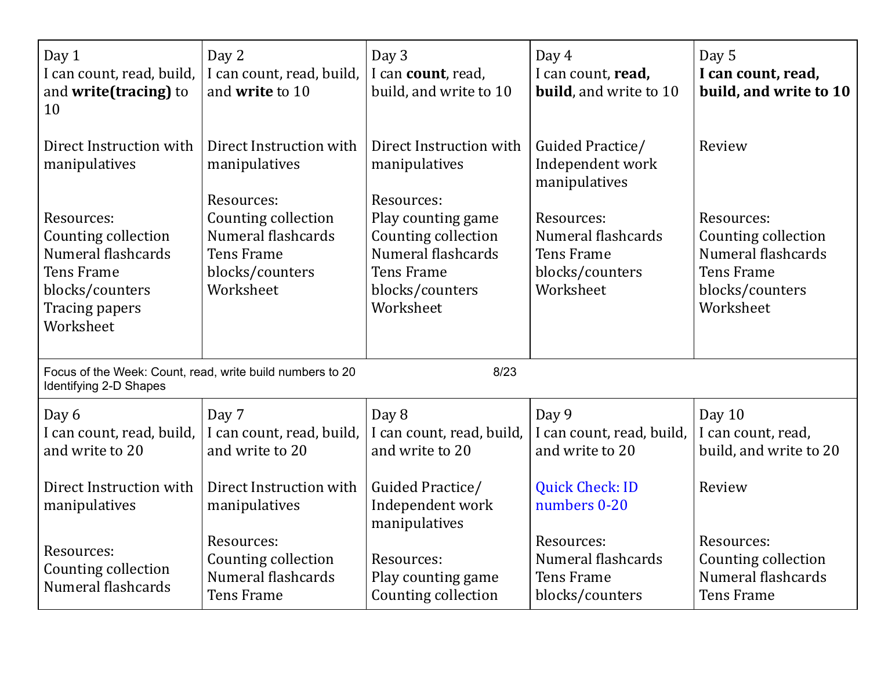| Day 1<br>I can count, read, build,<br>and write(tracing) to<br>10                                                | Day 2<br>I can count, read, build,<br>and write to 10                         | Day 3<br>I can count, read,<br>build, and write to 10                                          | Day 4<br>I can count, read,<br><b>build</b> , and write to 10            | Day 5<br>I can count, read,<br>build, and write to 10                                   |
|------------------------------------------------------------------------------------------------------------------|-------------------------------------------------------------------------------|------------------------------------------------------------------------------------------------|--------------------------------------------------------------------------|-----------------------------------------------------------------------------------------|
| Direct Instruction with<br>manipulatives<br>Resources:                                                           | Direct Instruction with<br>manipulatives<br>Resources:<br>Counting collection | Direct Instruction with<br>manipulatives<br>Resources:<br>Play counting game                   | Guided Practice/<br>Independent work<br>manipulatives<br>Resources:      | Review<br>Resources:                                                                    |
| Counting collection<br>Numeral flashcards<br><b>Tens Frame</b><br>blocks/counters<br>Tracing papers<br>Worksheet | Numeral flashcards<br><b>Tens Frame</b><br>blocks/counters<br>Worksheet       | Counting collection<br>Numeral flashcards<br><b>Tens Frame</b><br>blocks/counters<br>Worksheet | Numeral flashcards<br><b>Tens Frame</b><br>blocks/counters<br>Worksheet  | Counting collection<br>Numeral flashcards<br>Tens Frame<br>blocks/counters<br>Worksheet |
| Focus of the Week: Count, read, write build numbers to 20<br>Identifying 2-D Shapes                              |                                                                               | 8/23                                                                                           |                                                                          |                                                                                         |
| Day 6<br>I can count, read, build,<br>and write to 20                                                            | Day 7<br>I can count, read, build,<br>and write to 20                         | Day 8<br>I can count, read, build,<br>and write to 20                                          | Day 9<br>I can count, read, build,<br>and write to 20                    | Day 10<br>I can count, read,<br>build, and write to 20                                  |
| Direct Instruction with<br>manipulatives                                                                         | Direct Instruction with<br>manipulatives                                      | Guided Practice/<br>Independent work<br>manipulatives                                          | <b>Quick Check: ID</b><br>numbers 0-20                                   | Review                                                                                  |
| Resources:<br>Counting collection<br>Numeral flashcards                                                          | Resources:<br>Counting collection<br>Numeral flashcards<br><b>Tens Frame</b>  | Resources:<br>Play counting game<br>Counting collection                                        | Resources:<br>Numeral flashcards<br><b>Tens Frame</b><br>blocks/counters | Resources:<br>Counting collection<br>Numeral flashcards<br><b>Tens Frame</b>            |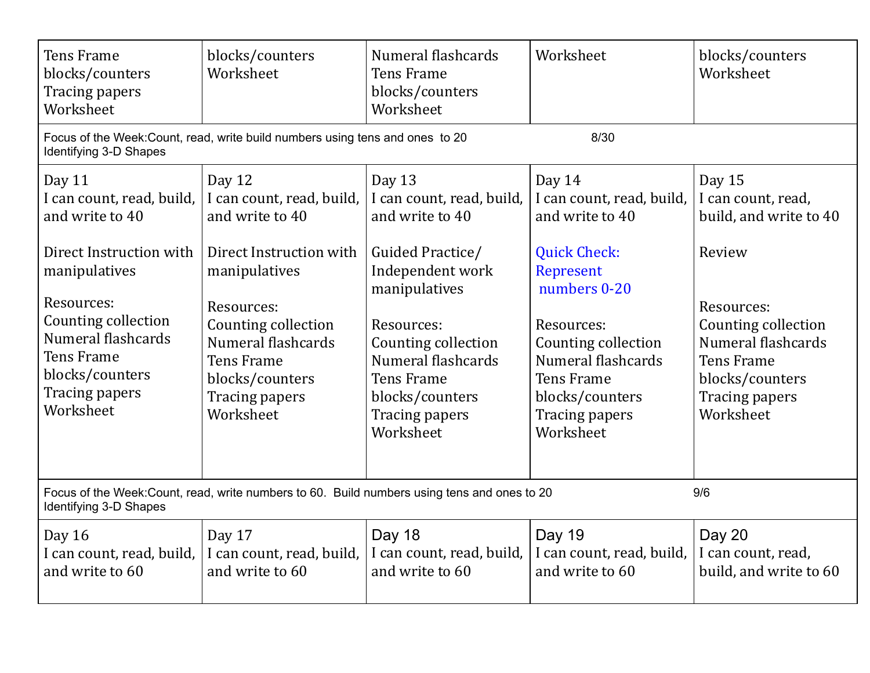| <b>Tens Frame</b><br>blocks/counters<br>Tracing papers<br>Worksheet                                                                                                                                                           | blocks/counters<br>Worksheet                                                                                                                                                                                                         | Numeral flashcards<br><b>Tens Frame</b><br>blocks/counters<br>Worksheet                                                                                                                                                                           | Worksheet                                                                                                                                                                                                                                           | blocks/counters<br>Worksheet                                                                                                                                                                       |
|-------------------------------------------------------------------------------------------------------------------------------------------------------------------------------------------------------------------------------|--------------------------------------------------------------------------------------------------------------------------------------------------------------------------------------------------------------------------------------|---------------------------------------------------------------------------------------------------------------------------------------------------------------------------------------------------------------------------------------------------|-----------------------------------------------------------------------------------------------------------------------------------------------------------------------------------------------------------------------------------------------------|----------------------------------------------------------------------------------------------------------------------------------------------------------------------------------------------------|
| Identifying 3-D Shapes                                                                                                                                                                                                        | Focus of the Week: Count, read, write build numbers using tens and ones to 20                                                                                                                                                        |                                                                                                                                                                                                                                                   | 8/30                                                                                                                                                                                                                                                |                                                                                                                                                                                                    |
| Day 11<br>I can count, read, build,<br>and write to 40<br>Direct Instruction with<br>manipulatives<br>Resources:<br>Counting collection<br>Numeral flashcards<br>Tens Frame<br>blocks/counters<br>Tracing papers<br>Worksheet | Day 12<br>I can count, read, build,<br>and write to 40<br>Direct Instruction with<br>manipulatives<br>Resources:<br>Counting collection<br>Numeral flashcards<br><b>Tens Frame</b><br>blocks/counters<br>Tracing papers<br>Worksheet | Day 13<br>I can count, read, build,<br>and write to 40<br>Guided Practice/<br>Independent work<br>manipulatives<br>Resources:<br>Counting collection<br>Numeral flashcards<br><b>Tens Frame</b><br>blocks/counters<br>Tracing papers<br>Worksheet | Day 14<br>I can count, read, build,<br>and write to 40<br><b>Quick Check:</b><br>Represent<br>numbers 0-20<br>Resources:<br>Counting collection<br>Numeral flashcards<br><b>Tens Frame</b><br>blocks/counters<br><b>Tracing papers</b><br>Worksheet | Day 15<br>I can count, read,<br>build, and write to 40<br>Review<br>Resources:<br>Counting collection<br>Numeral flashcards<br><b>Tens Frame</b><br>blocks/counters<br>Tracing papers<br>Worksheet |
| Focus of the Week: Count, read, write numbers to 60. Build numbers using tens and ones to 20<br>9/6<br>Identifying 3-D Shapes                                                                                                 |                                                                                                                                                                                                                                      |                                                                                                                                                                                                                                                   |                                                                                                                                                                                                                                                     |                                                                                                                                                                                                    |
| Day 16<br>I can count, read, build,<br>and write to 60                                                                                                                                                                        | Day 17<br>I can count, read, build,<br>and write to 60                                                                                                                                                                               | Day 18<br>I can count, read, build,<br>and write to 60                                                                                                                                                                                            | <b>Day 19</b><br>I can count, read, build,<br>and write to 60                                                                                                                                                                                       | Day 20<br>I can count, read,<br>build, and write to 60                                                                                                                                             |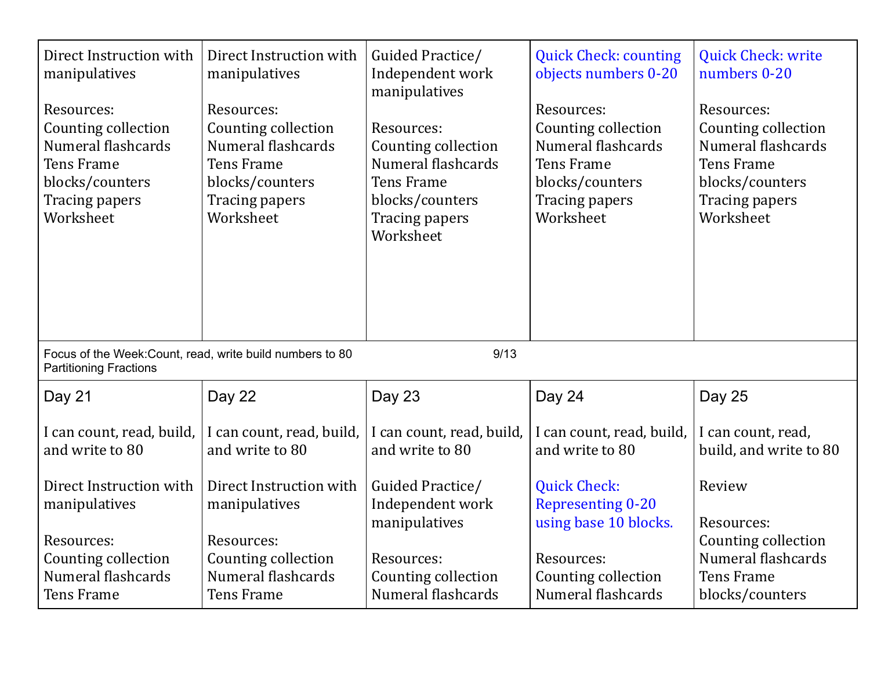| Direct Instruction with<br>manipulatives<br>Resources:<br>Counting collection<br>Numeral flashcards<br><b>Tens Frame</b><br>blocks/counters<br><b>Tracing papers</b><br>Worksheet | Direct Instruction with<br>manipulatives<br>Resources:<br>Counting collection<br>Numeral flashcards<br><b>Tens Frame</b><br>blocks/counters<br>Tracing papers<br>Worksheet | Guided Practice/<br>Independent work<br>manipulatives<br>Resources:<br>Counting collection<br>Numeral flashcards<br><b>Tens Frame</b><br>blocks/counters<br>Tracing papers<br>Worksheet | <b>Quick Check: counting</b><br>objects numbers 0-20<br>Resources:<br>Counting collection<br>Numeral flashcards<br><b>Tens Frame</b><br>blocks/counters<br>Tracing papers<br>Worksheet | <b>Quick Check: write</b><br>numbers 0-20<br>Resources:<br>Counting collection<br>Numeral flashcards<br><b>Tens Frame</b><br>blocks/counters<br>Tracing papers<br>Worksheet |
|-----------------------------------------------------------------------------------------------------------------------------------------------------------------------------------|----------------------------------------------------------------------------------------------------------------------------------------------------------------------------|-----------------------------------------------------------------------------------------------------------------------------------------------------------------------------------------|----------------------------------------------------------------------------------------------------------------------------------------------------------------------------------------|-----------------------------------------------------------------------------------------------------------------------------------------------------------------------------|
| Focus of the Week: Count, read, write build numbers to 80<br><b>Partitioning Fractions</b>                                                                                        |                                                                                                                                                                            | 9/13                                                                                                                                                                                    |                                                                                                                                                                                        |                                                                                                                                                                             |
| Day 21                                                                                                                                                                            | Day 22                                                                                                                                                                     | Day 23                                                                                                                                                                                  | Day 24                                                                                                                                                                                 | Day 25                                                                                                                                                                      |
| I can count, read, build,<br>and write to 80                                                                                                                                      | I can count, read, build,<br>and write to 80                                                                                                                               | I can count, read, build,<br>and write to 80                                                                                                                                            | I can count, read, build,<br>and write to 80                                                                                                                                           | I can count, read,<br>build, and write to 80                                                                                                                                |
| Direct Instruction with<br>manipulatives                                                                                                                                          | Direct Instruction with<br>manipulatives                                                                                                                                   | Guided Practice/<br>Independent work<br>manipulatives                                                                                                                                   | <b>Quick Check:</b><br><b>Representing 0-20</b><br>using base 10 blocks.                                                                                                               | Review<br>Resources:                                                                                                                                                        |
| Resources:<br>Counting collection<br>Numeral flashcards<br><b>Tens Frame</b>                                                                                                      | Resources:<br>Counting collection<br>Numeral flashcards<br><b>Tens Frame</b>                                                                                               | Resources:<br>Counting collection<br>Numeral flashcards                                                                                                                                 | Resources:<br>Counting collection<br>Numeral flashcards                                                                                                                                | Counting collection<br>Numeral flashcards<br><b>Tens Frame</b><br>blocks/counters                                                                                           |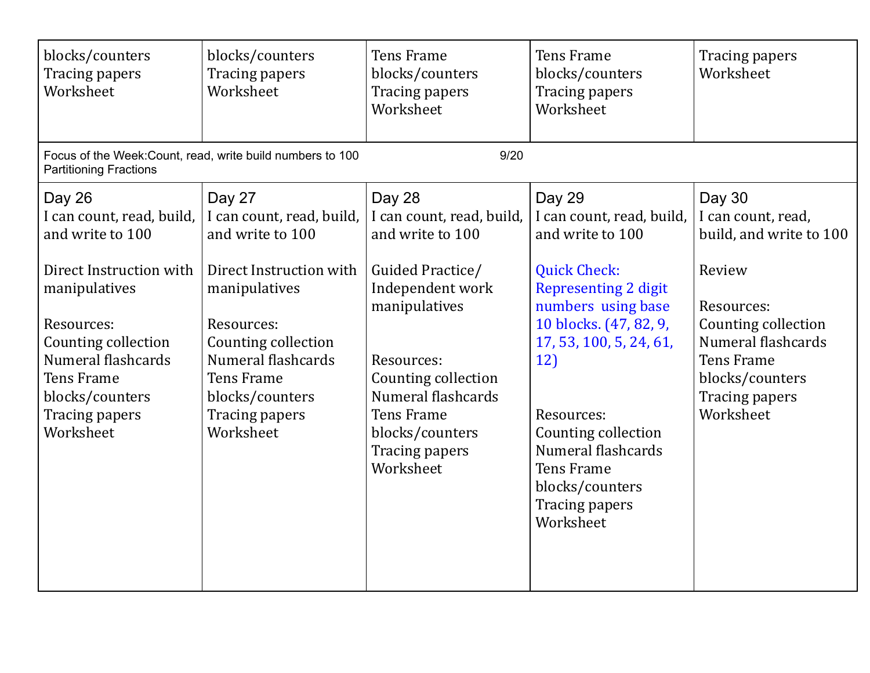| blocks/counters<br><b>Tracing papers</b><br>Worksheet                                                                                                                                                                                 | blocks/counters<br>Tracing papers<br>Worksheet                                                                                                                                                                                               | <b>Tens Frame</b><br>blocks/counters<br><b>Tracing papers</b><br>Worksheet                                                                                                                                                                         | <b>Tens Frame</b><br>blocks/counters<br>Tracing papers<br>Worksheet                                                                                                                                                                                                                                                                      | Tracing papers<br>Worksheet                                                                                                                                                                         |
|---------------------------------------------------------------------------------------------------------------------------------------------------------------------------------------------------------------------------------------|----------------------------------------------------------------------------------------------------------------------------------------------------------------------------------------------------------------------------------------------|----------------------------------------------------------------------------------------------------------------------------------------------------------------------------------------------------------------------------------------------------|------------------------------------------------------------------------------------------------------------------------------------------------------------------------------------------------------------------------------------------------------------------------------------------------------------------------------------------|-----------------------------------------------------------------------------------------------------------------------------------------------------------------------------------------------------|
| <b>Partitioning Fractions</b>                                                                                                                                                                                                         | Focus of the Week: Count, read, write build numbers to 100                                                                                                                                                                                   | 9/20                                                                                                                                                                                                                                               |                                                                                                                                                                                                                                                                                                                                          |                                                                                                                                                                                                     |
| Day 26<br>I can count, read, build,<br>and write to 100<br>Direct Instruction with<br>manipulatives<br>Resources:<br>Counting collection<br>Numeral flashcards<br><b>Tens Frame</b><br>blocks/counters<br>Tracing papers<br>Worksheet | Day 27<br>I can count, read, build,<br>and write to 100<br>Direct Instruction with<br>manipulatives<br>Resources:<br>Counting collection<br>Numeral flashcards<br><b>Tens Frame</b><br>blocks/counters<br><b>Tracing papers</b><br>Worksheet | Day 28<br>I can count, read, build,<br>and write to 100<br>Guided Practice/<br>Independent work<br>manipulatives<br>Resources:<br>Counting collection<br>Numeral flashcards<br><b>Tens Frame</b><br>blocks/counters<br>Tracing papers<br>Worksheet | Day 29<br>I can count, read, build,<br>and write to 100<br><b>Quick Check:</b><br><b>Representing 2 digit</b><br>numbers using base<br>10 blocks. (47, 82, 9,<br>17, 53, 100, 5, 24, 61,<br>12)<br>Resources:<br>Counting collection<br>Numeral flashcards<br><b>Tens Frame</b><br>blocks/counters<br><b>Tracing papers</b><br>Worksheet | Day 30<br>I can count, read,<br>build, and write to 100<br>Review<br>Resources:<br>Counting collection<br>Numeral flashcards<br><b>Tens Frame</b><br>blocks/counters<br>Tracing papers<br>Worksheet |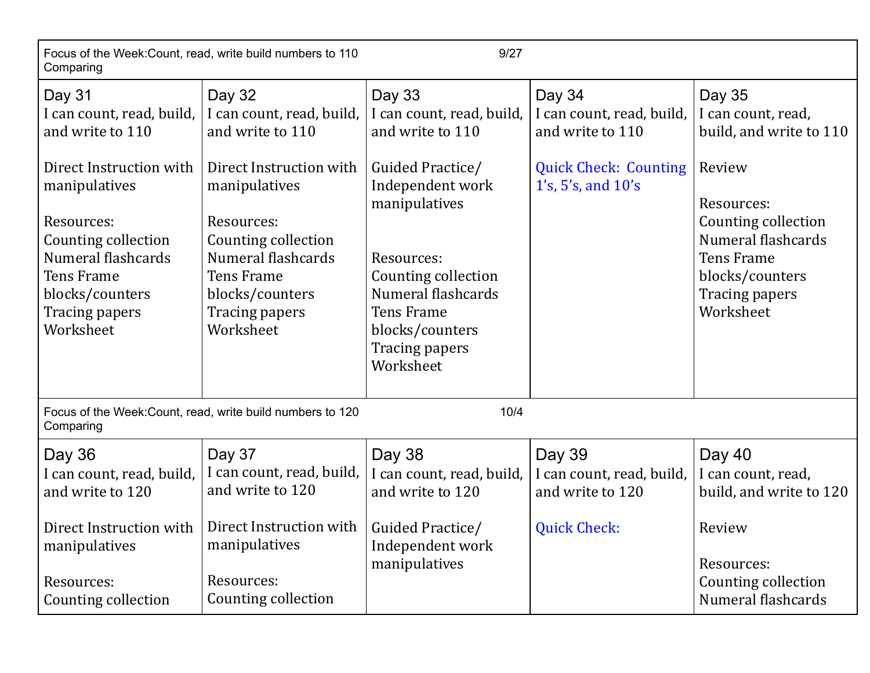| Focus of the Week: Count, read, write build numbers to 110<br>9/27<br>Comparing                                                                                                                                                       |                                                                                                                                                                                                                                       |                                                                                                                                                                                                                                             |                                                                                                                 |                                                                                                                                                                                                     |
|---------------------------------------------------------------------------------------------------------------------------------------------------------------------------------------------------------------------------------------|---------------------------------------------------------------------------------------------------------------------------------------------------------------------------------------------------------------------------------------|---------------------------------------------------------------------------------------------------------------------------------------------------------------------------------------------------------------------------------------------|-----------------------------------------------------------------------------------------------------------------|-----------------------------------------------------------------------------------------------------------------------------------------------------------------------------------------------------|
| Day 31<br>I can count, read, build,<br>and write to 110<br>Direct Instruction with<br>manipulatives<br>Resources:<br>Counting collection<br>Numeral flashcards<br><b>Tens Frame</b><br>blocks/counters<br>Tracing papers<br>Worksheet | Day 32<br>I can count, read, build,<br>and write to 110<br>Direct Instruction with<br>manipulatives<br>Resources:<br>Counting collection<br>Numeral flashcards<br><b>Tens Frame</b><br>blocks/counters<br>Tracing papers<br>Worksheet | Day 33<br>I can count, read, build,<br>and write to 110<br>Guided Practice/<br>Independent work<br>manipulatives<br>Resources:<br>Counting collection<br>Numeral flashcards<br>Tens Frame<br>blocks/counters<br>Tracing papers<br>Worksheet | Day 34<br>I can count, read, build,<br>and write to 110<br><b>Quick Check: Counting</b><br>1's, 5's, and $10's$ | Day 35<br>I can count, read,<br>build, and write to 110<br>Review<br>Resources:<br>Counting collection<br>Numeral flashcards<br><b>Tens Frame</b><br>blocks/counters<br>Tracing papers<br>Worksheet |
| Comparing                                                                                                                                                                                                                             | Focus of the Week: Count, read, write build numbers to 120                                                                                                                                                                            | 10/4                                                                                                                                                                                                                                        |                                                                                                                 |                                                                                                                                                                                                     |
| Day 36<br>I can count, read, build,<br>and write to 120<br>manipulatives<br>Resources:<br>Counting collection                                                                                                                         | Day 37<br>I can count, read, build,<br>and write to 120<br>Direct Instruction with Direct Instruction with<br>manipulatives<br>Resources:<br>Counting collection                                                                      | Day 38<br>I can count, read, build,<br>and write to 120<br>Guided Practice/<br>Independent work<br>manipulatives                                                                                                                            | Day 39<br>I can count, read, build,<br>and write to 120<br><b>Quick Check:</b>                                  | Day 40<br>I can count, read,<br>build, and write to 120<br>Review<br>Resources:<br>Counting collection<br>Numeral flashcards                                                                        |